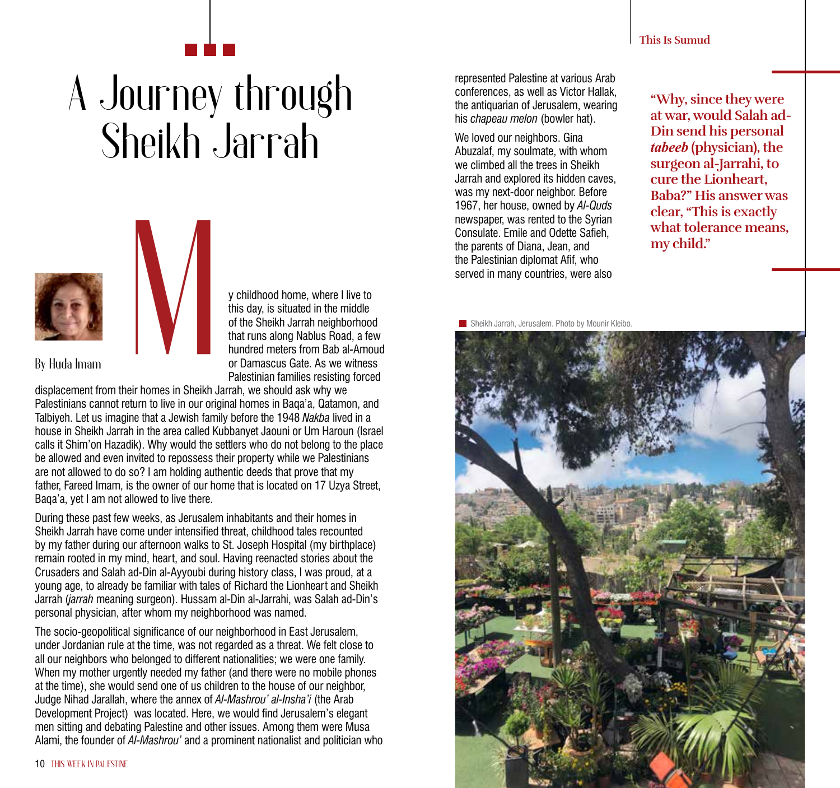## A Journey through Sheikh Jarrah



y childhood home, where I live to this day, is situated in the middle of the Sheikh Jarrah neighborhood that runs along Nablus Road, a few hundred meters from Bab al-Amoud or Damascus Gate. As we witness Palestinian families resisting forced

**By Huda Imam**

displacement from their homes in Sheikh Jarrah, we should ask why we Palestinians cannot return to live in our original homes in Baqa'a, Qatamon, and Talbiyeh. Let us imagine that a Jewish family before the 1948 *Nakba* lived in a house in Sheikh Jarrah in the area called Kubbanyet Jaouni or Um Haroun (Israel calls it Shim'on Hazadik). Why would the settlers who do not belong to the place be allowed and even invited to repossess their property while we Palestinians are not allowed to do so? I am holding authentic deeds that prove that my father, Fareed Imam, is the owner of our home that is located on 17 Uzya Street, Baqa'a, yet I am not allowed to live there.

During these past few weeks, as Jerusalem inhabitants and their homes in Sheikh Jarrah have come under intensified threat, childhood tales recounted by my father during our afternoon walks to St. Joseph Hospital (my birthplace) remain rooted in my mind, heart, and soul. Having reenacted stories about the Crusaders and Salah ad-Din al-Ayyoubi during history class, I was proud, at a young age, to already be familiar with tales of Richard the Lionheart and Sheikh Jarrah (*jarrah* meaning surgeon). Hussam al-Din al-Jarrahi, was Salah ad-Din's personal physician, after whom my neighborhood was named.

The socio-geopolitical significance of our neighborhood in East Jerusalem, under Jordanian rule at the time, was not regarded as a threat. We felt close to all our neighbors who belonged to different nationalities; we were one family. When my mother urgently needed my father (and there were no mobile phones at the time), she would send one of us children to the house of our neighbor, Judge Nihad Jarallah, where the annex of *Al-Mashrou' al-Insha'i* (the Arab Development Project) was located. Here, we would find Jerusalem's elegant men sitting and debating Palestine and other issues. Among them were Musa Alami, the founder of *Al-Mashrou'* and a prominent nationalist and politician who

represented Palestine at various Arab conferences, as well as Victor Hallak, the antiquarian of Jerusalem, wearing his *chapeau melon* (bowler hat).

We loved our neighbors. Gina Abuzalaf, my soulmate, with whom we climbed all the trees in Sheikh Jarrah and explored its hidden caves, was my next-door neighbor. Before 1967, her house, owned by *Al-Quds* newspaper, was rented to the Syrian Consulate. Emile and Odette Safieh, the parents of Diana, Jean, and the Palestinian diplomat Afif, who served in many countries, were also

**"Why, since they were at war, would Salah ad-Din send his personal**  *tabeeb* **(physician), the surgeon al-Jarrahi, to cure the Lionheart, Baba?" His answer was clear, "This is exactly what tolerance means, my child."**

**Sheikh Jarrah, Jerusalem. Photo by Mounir Kleibo.** 

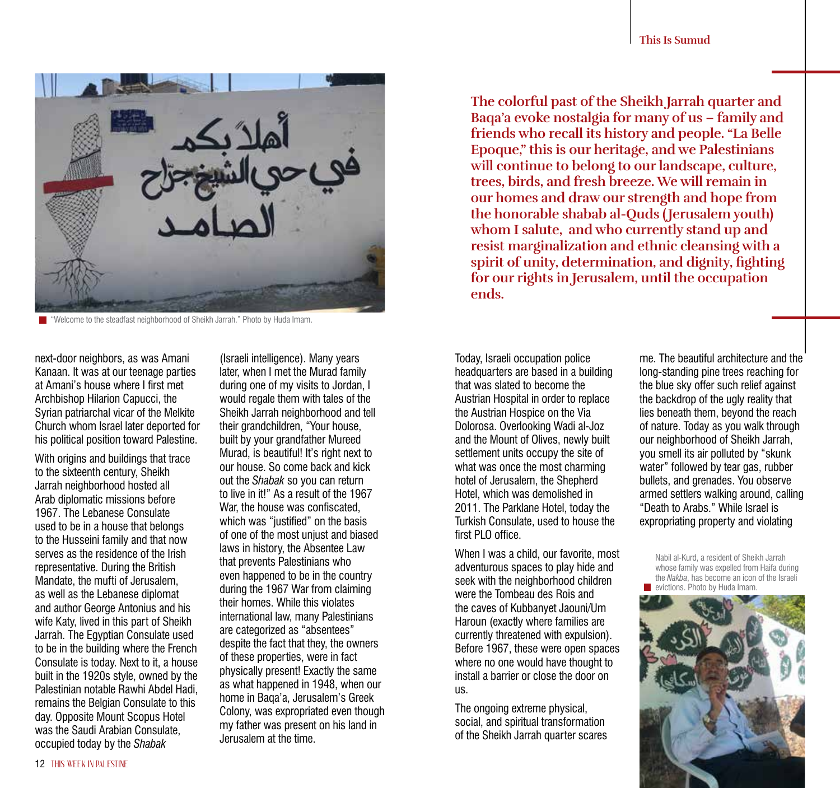

**T** "Welcome to the steadfast neighborhood of Sheikh Jarrah." Photo by Huda Imam.

next-door neighbors, as was Amani Kanaan. It was at our teenage parties at Amani's house where I first met Archbishop Hilarion Capucci, the Syrian patriarchal vicar of the Melkite Church whom Israel later deported for his political position toward Palestine.

With origins and buildings that trace to the sixteenth century, Sheikh Jarrah neighborhood hosted all Arab diplomatic missions before 1967. The Lebanese Consulate used to be in a house that belongs to the Husseini family and that now serves as the residence of the Irish representative. During the British Mandate, the mufti of Jerusalem, as well as the Lebanese diplomat and author George Antonius and his wife Katy, lived in this part of Sheikh Jarrah. The Egyptian Consulate used to be in the building where the French Consulate is today. Next to it, a house built in the 1920s style, owned by the Palestinian notable Rawhi Abdel Hadi, remains the Belgian Consulate to this day. Opposite Mount Scopus Hotel was the Saudi Arabian Consulate, occupied today by the *Shabak*

(Israeli intelligence). Many years later, when I met the Murad family during one of my visits to Jordan, I would regale them with tales of the Sheikh Jarrah neighborhood and tell their grandchildren, "Your house, built by your grandfather Mureed Murad, is beautiful! It's right next to our house. So come back and kick out the *Shabak* so you can return to live in it!" As a result of the 1967 War, the house was confiscated. which was "justified" on the basis of one of the most unjust and biased laws in history, the Absentee Law that prevents Palestinians who even happened to be in the country during the 1967 War from claiming their homes. While this violates international law, many Palestinians are categorized as "absentees" despite the fact that they, the owners of these properties, were in fact physically present! Exactly the same as what happened in 1948, when our home in Baqa'a, Jerusalem's Greek Colony, was expropriated even though my father was present on his land in Jerusalem at the time.

**The colorful past of the Sheikh Jarrah quarter and Baqa'a evoke nostalgia for many of us – family and friends who recall its history and people. "La Belle Epoque," this is our heritage, and we Palestinians will continue to belong to our landscape, culture, trees, birds, and fresh breeze. We will remain in our homes and draw our strength and hope from the honorable shabab al-Quds ( Jerusalem youth) whom I salute, and who currently stand up and resist marginalization and ethnic cleansing with a spirit of unity, determination, and dignity, fighting for our rights in Jerusalem, until the occupation ends.** 

Today, Israeli occupation police headquarters are based in a building that was slated to become the Austrian Hospital in order to replace the Austrian Hospice on the Via Dolorosa. Overlooking Wadi al-Joz and the Mount of Olives, newly built settlement units occupy the site of what was once the most charming hotel of Jerusalem, the Shepherd Hotel, which was demolished in 2011. The Parklane Hotel, today the Turkish Consulate, used to house the first PLO office

When I was a child, our favorite, most adventurous spaces to play hide and seek with the neighborhood children were the Tombeau des Rois and the caves of Kubbanyet Jaouni/Um Haroun (exactly where families are currently threatened with expulsion). Before 1967, these were open spaces where no one would have thought to install a barrier or close the door on us.

The ongoing extreme physical, social, and spiritual transformation of the Sheikh Jarrah quarter scares me. The beautiful architecture and the long-standing pine trees reaching for the blue sky offer such relief against the backdrop of the ugly reality that lies beneath them, beyond the reach of nature. Today as you walk through our neighborhood of Sheikh Jarrah, you smell its air polluted by "skunk water" followed by tear gas, rubber bullets, and grenades. You observe armed settlers walking around, calling "Death to Arabs." While Israel is expropriating property and violating

Nabil al-Kurd, a resident of Sheikh Jarrah whose family was expelled from Haifa during the *Nakba*, has become an icon of the Israeli evictions. Photo by Huda Imam.